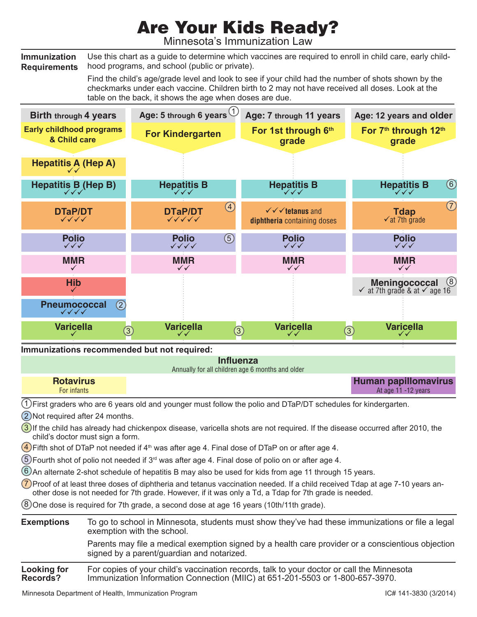## Are Your Kids Ready?

Minnesota's Immunization Law

**Immunization Requirements** Use this chart as a guide to determine which vaccines are required to enroll in child care, early childhood programs, and school (public or private).

> Find the child's age/grade level and look to see if your child had the number of shots shown by the checkmarks under each vaccine. Children birth to 2 may not have received all doses. Look at the table on the back, it shows the age when doses are due.



## For copies of your child's vaccination records, talk to your doctor or call the Minnesota Immunization Information Connection (MIIC) at 651-201-5503 or 1-800-657-3970. **Looking for Records?**